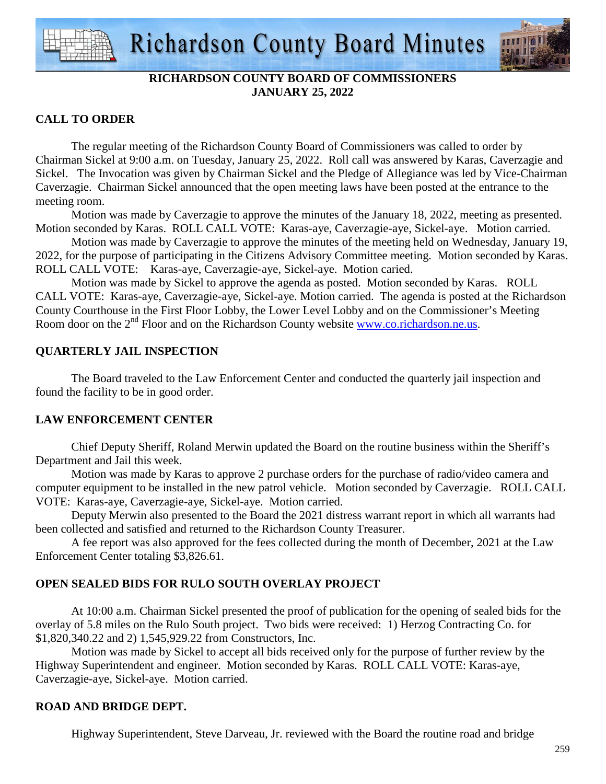

# **RICHARDSON COUNTY BOARD OF COMMISSIONERS JANUARY 25, 2022**

# **CALL TO ORDER**

 The regular meeting of the Richardson County Board of Commissioners was called to order by Chairman Sickel at 9:00 a.m. on Tuesday, January 25, 2022. Roll call was answered by Karas, Caverzagie and Sickel. The Invocation was given by Chairman Sickel and the Pledge of Allegiance was led by Vice-Chairman Caverzagie. Chairman Sickel announced that the open meeting laws have been posted at the entrance to the meeting room.

 Motion was made by Caverzagie to approve the minutes of the January 18, 2022, meeting as presented. Motion seconded by Karas. ROLL CALL VOTE: Karas-aye, Caverzagie-aye, Sickel-aye. Motion carried.

 Motion was made by Caverzagie to approve the minutes of the meeting held on Wednesday, January 19, 2022, for the purpose of participating in the Citizens Advisory Committee meeting. Motion seconded by Karas. ROLL CALL VOTE: Karas-aye, Caverzagie-aye, Sickel-aye. Motion caried.

 Motion was made by Sickel to approve the agenda as posted. Motion seconded by Karas. ROLL CALL VOTE: Karas-aye, Caverzagie-aye, Sickel-aye. Motion carried. The agenda is posted at the Richardson County Courthouse in the First Floor Lobby, the Lower Level Lobby and on the Commissioner's Meeting Room door on the 2<sup>nd</sup> Floor and on the Richardson County website www.co.richardson.ne.us.

# **QUARTERLY JAIL INSPECTION**

 The Board traveled to the Law Enforcement Center and conducted the quarterly jail inspection and found the facility to be in good order.

# **LAW ENFORCEMENT CENTER**

 Chief Deputy Sheriff, Roland Merwin updated the Board on the routine business within the Sheriff's Department and Jail this week.

 Motion was made by Karas to approve 2 purchase orders for the purchase of radio/video camera and computer equipment to be installed in the new patrol vehicle. Motion seconded by Caverzagie. ROLL CALL VOTE: Karas-aye, Caverzagie-aye, Sickel-aye. Motion carried.

 Deputy Merwin also presented to the Board the 2021 distress warrant report in which all warrants had been collected and satisfied and returned to the Richardson County Treasurer.

 A fee report was also approved for the fees collected during the month of December, 2021 at the Law Enforcement Center totaling \$3,826.61.

# **OPEN SEALED BIDS FOR RULO SOUTH OVERLAY PROJECT**

 At 10:00 a.m. Chairman Sickel presented the proof of publication for the opening of sealed bids for the overlay of 5.8 miles on the Rulo South project. Two bids were received: 1) Herzog Contracting Co. for \$1,820,340.22 and 2) 1,545,929.22 from Constructors, Inc.

 Motion was made by Sickel to accept all bids received only for the purpose of further review by the Highway Superintendent and engineer. Motion seconded by Karas. ROLL CALL VOTE: Karas-aye, Caverzagie-aye, Sickel-aye. Motion carried.

# **ROAD AND BRIDGE DEPT.**

Highway Superintendent, Steve Darveau, Jr. reviewed with the Board the routine road and bridge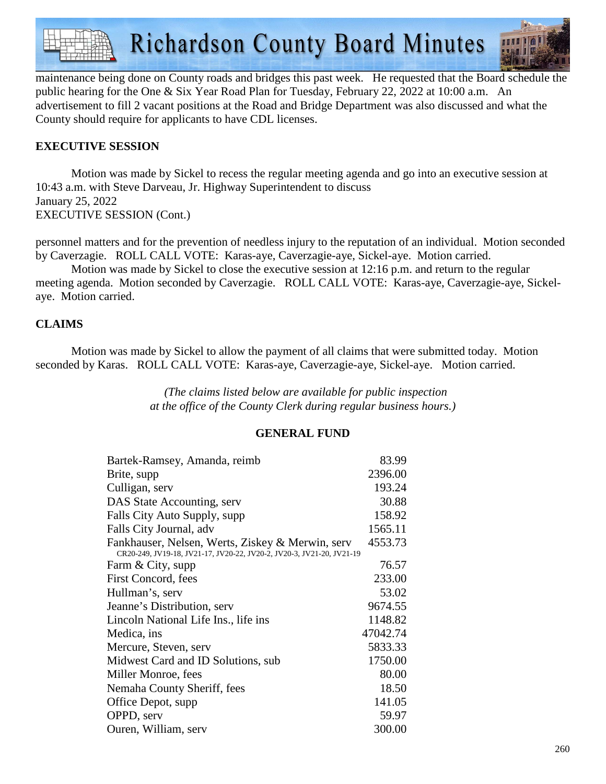

maintenance being done on County roads and bridges this past week. He requested that the Board schedule the public hearing for the One & Six Year Road Plan for Tuesday, February 22, 2022 at 10:00 a.m. An advertisement to fill 2 vacant positions at the Road and Bridge Department was also discussed and what the County should require for applicants to have CDL licenses.

# **EXECUTIVE SESSION**

Motion was made by Sickel to recess the regular meeting agenda and go into an executive session at 10:43 a.m. with Steve Darveau, Jr. Highway Superintendent to discuss January 25, 2022 EXECUTIVE SESSION (Cont.)

personnel matters and for the prevention of needless injury to the reputation of an individual. Motion seconded by Caverzagie. ROLL CALL VOTE: Karas-aye, Caverzagie-aye, Sickel-aye. Motion carried.

 Motion was made by Sickel to close the executive session at 12:16 p.m. and return to the regular meeting agenda. Motion seconded by Caverzagie. ROLL CALL VOTE: Karas-aye, Caverzagie-aye, Sickelaye. Motion carried.

# **CLAIMS**

Motion was made by Sickel to allow the payment of all claims that were submitted today. Motion seconded by Karas. ROLL CALL VOTE: Karas-aye, Caverzagie-aye, Sickel-aye. Motion carried.

> *(The claims listed below are available for public inspection at the office of the County Clerk during regular business hours.)*

#### **GENERAL FUND**

| Bartek-Ramsey, Amanda, reimb                                                                                              | 83.99    |
|---------------------------------------------------------------------------------------------------------------------------|----------|
| Brite, supp                                                                                                               | 2396.00  |
| Culligan, serv                                                                                                            | 193.24   |
| DAS State Accounting, serv                                                                                                | 30.88    |
| Falls City Auto Supply, supp                                                                                              | 158.92   |
| Falls City Journal, adv                                                                                                   | 1565.11  |
| Fankhauser, Nelsen, Werts, Ziskey & Merwin, serv<br>CR20-249, JV19-18, JV21-17, JV20-22, JV20-2, JV20-3, JV21-20, JV21-19 | 4553.73  |
| Farm & City, supp                                                                                                         | 76.57    |
| First Concord, fees                                                                                                       | 233.00   |
| Hullman's, serv                                                                                                           | 53.02    |
| Jeanne's Distribution, serv                                                                                               | 9674.55  |
| Lincoln National Life Ins., life ins.                                                                                     | 1148.82  |
| Medica, ins                                                                                                               | 47042.74 |
| Mercure, Steven, serv                                                                                                     | 5833.33  |
| Midwest Card and ID Solutions, sub                                                                                        | 1750.00  |
| Miller Monroe, fees                                                                                                       | 80.00    |
| Nemaha County Sheriff, fees                                                                                               | 18.50    |
| Office Depot, supp                                                                                                        | 141.05   |
| OPPD, serv                                                                                                                | 59.97    |
| Ouren, William, serv                                                                                                      | 300.00   |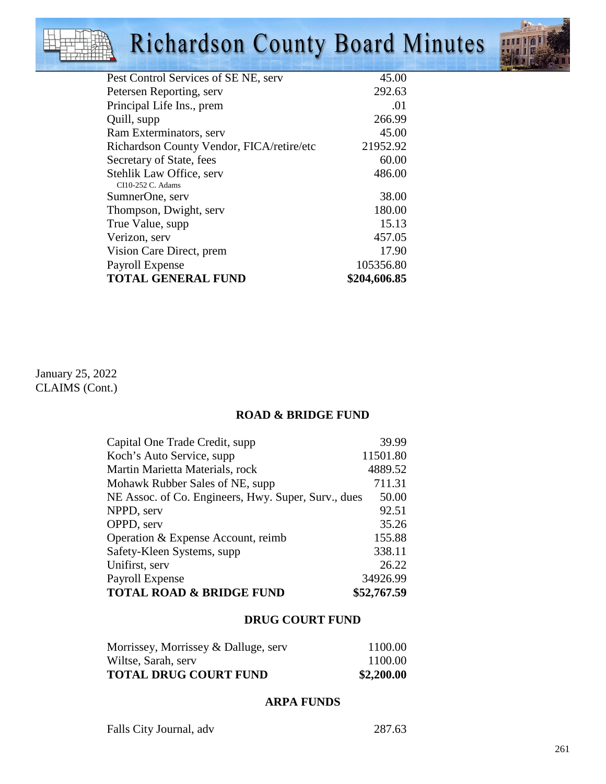# Richardson County Board Minutes



| Pest Control Services of SE NE, serv          | 45.00        |
|-----------------------------------------------|--------------|
| Petersen Reporting, serv                      | 292.63       |
| Principal Life Ins., prem                     | .01          |
| Quill, supp                                   | 266.99       |
| Ram Exterminators, serv                       | 45.00        |
| Richardson County Vendor, FICA/retire/etc     | 21952.92     |
| Secretary of State, fees                      | 60.00        |
| Stehlik Law Office, serv<br>CI10-252 C. Adams | 486.00       |
| SumnerOne, serv                               | 38.00        |
| Thompson, Dwight, serv                        | 180.00       |
| True Value, supp.                             | 15.13        |
| Verizon, serv                                 | 457.05       |
| Vision Care Direct, prem                      | 17.90        |
| Payroll Expense                               | 105356.80    |
| <b>TOTAL GENERAL FUND</b>                     | \$204,606.85 |
|                                               |              |

January 25, 2022 CLAIMS (Cont.)

# **ROAD & BRIDGE FUND**

| Capital One Trade Credit, supp                      | 39.99       |
|-----------------------------------------------------|-------------|
| Koch's Auto Service, supp.                          | 11501.80    |
| Martin Marietta Materials, rock                     | 4889.52     |
| Mohawk Rubber Sales of NE, supp                     | 711.31      |
| NE Assoc. of Co. Engineers, Hwy. Super, Surv., dues | 50.00       |
| NPPD, serv                                          | 92.51       |
| OPPD, serv                                          | 35.26       |
| Operation & Expense Account, reimb                  | 155.88      |
| Safety-Kleen Systems, supp.                         | 338.11      |
| Unifirst, serv                                      | 26.22       |
| Payroll Expense                                     | 34926.99    |
| <b>TOTAL ROAD &amp; BRIDGE FUND</b>                 | \$52,767.59 |

# **DRUG COURT FUND**

| <b>TOTAL DRUG COURT FUND</b>         | \$2,200.00 |
|--------------------------------------|------------|
| Wiltse, Sarah, serv                  | 1100.00    |
| Morrissey, Morrissey & Dalluge, serv | 1100.00    |

#### **ARPA FUNDS**